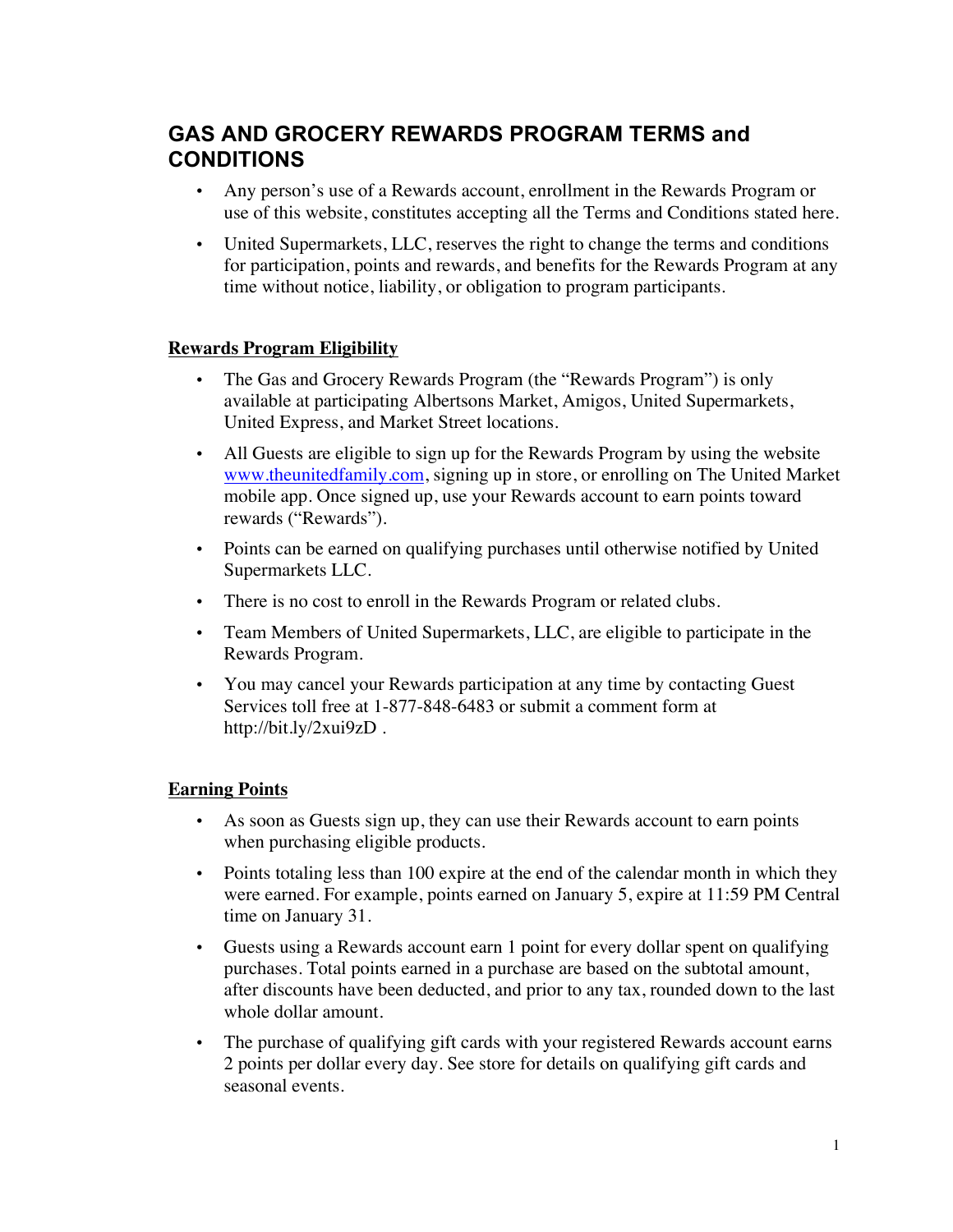# **GAS AND GROCERY REWARDS PROGRAM TERMS and CONDITIONS**

- Any person's use of a Rewards account, enrollment in the Rewards Program or use of this website, constitutes accepting all the Terms and Conditions stated here.
- United Supermarkets, LLC, reserves the right to change the terms and conditions for participation, points and rewards, and benefits for the Rewards Program at any time without notice, liability, or obligation to program participants.

## **Rewards Program Eligibility**

- The Gas and Grocery Rewards Program (the "Rewards Program") is only available at participating Albertsons Market, Amigos, United Supermarkets, United Express, and Market Street locations.
- All Guests are eligible to sign up for the Rewards Program by using the website www.theunitedfamily.com, signing up in store, or enrolling on The United Market mobile app. Once signed up, use your Rewards account to earn points toward rewards ("Rewards").
- Points can be earned on qualifying purchases until otherwise notified by United Supermarkets LLC.
- There is no cost to enroll in the Rewards Program or related clubs.
- Team Members of United Supermarkets, LLC, are eligible to participate in the Rewards Program.
- You may cancel your Rewards participation at any time by contacting Guest Services toll free at 1-877-848-6483 or submit a comment form at http://bit.ly/2xui9zD .

# **Earning Points**

- As soon as Guests sign up, they can use their Rewards account to earn points when purchasing eligible products.
- Points totaling less than 100 expire at the end of the calendar month in which they were earned. For example, points earned on January 5, expire at 11:59 PM Central time on January 31.
- Guests using a Rewards account earn 1 point for every dollar spent on qualifying purchases. Total points earned in a purchase are based on the subtotal amount, after discounts have been deducted, and prior to any tax, rounded down to the last whole dollar amount.
- The purchase of qualifying gift cards with your registered Rewards account earns 2 points per dollar every day. See store for details on qualifying gift cards and seasonal events.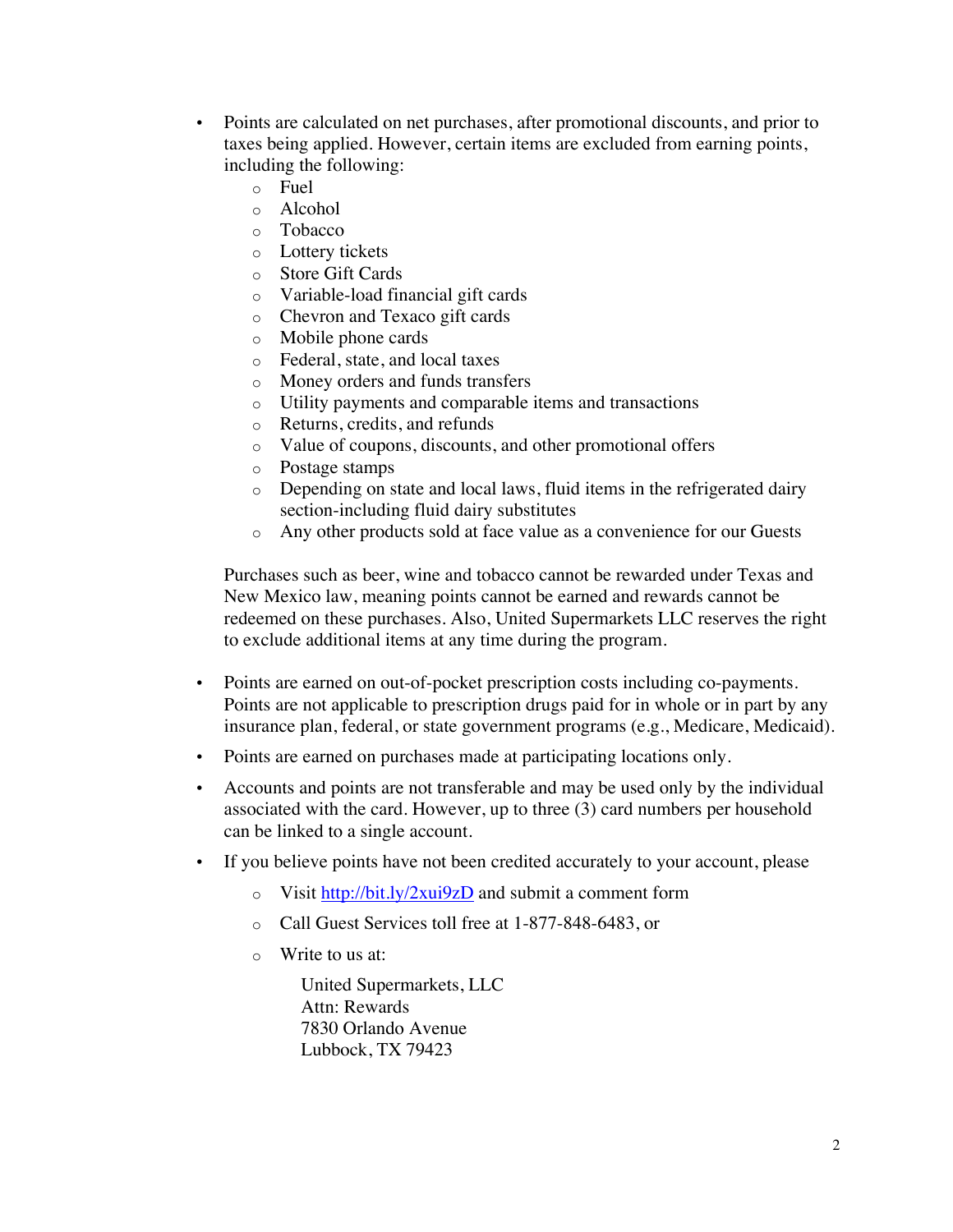- Points are calculated on net purchases, after promotional discounts, and prior to taxes being applied. However, certain items are excluded from earning points, including the following:
	- o Fuel
	- o Alcohol
	- o Tobacco
	- o Lottery tickets
	- o Store Gift Cards
	- o Variable-load financial gift cards
	- o Chevron and Texaco gift cards
	- o Mobile phone cards
	- o Federal, state, and local taxes
	- o Money orders and funds transfers
	- o Utility payments and comparable items and transactions
	- o Returns, credits, and refunds
	- o Value of coupons, discounts, and other promotional offers
	- o Postage stamps
	- o Depending on state and local laws, fluid items in the refrigerated dairy section-including fluid dairy substitutes
	- o Any other products sold at face value as a convenience for our Guests

Purchases such as beer, wine and tobacco cannot be rewarded under Texas and New Mexico law, meaning points cannot be earned and rewards cannot be redeemed on these purchases. Also, United Supermarkets LLC reserves the right to exclude additional items at any time during the program.

- Points are earned on out-of-pocket prescription costs including co-payments. Points are not applicable to prescription drugs paid for in whole or in part by any insurance plan, federal, or state government programs (e.g., Medicare, Medicaid).
- Points are earned on purchases made at participating locations only.
- Accounts and points are not transferable and may be used only by the individual associated with the card. However, up to three (3) card numbers per household can be linked to a single account.
- If you believe points have not been credited accurately to your account, please
	- o Visit http://bit.ly/2xui9zD and submit a comment form
	- o Call Guest Services toll free at 1-877-848-6483, or
	- o Write to us at:

United Supermarkets, LLC Attn: Rewards 7830 Orlando Avenue Lubbock, TX 79423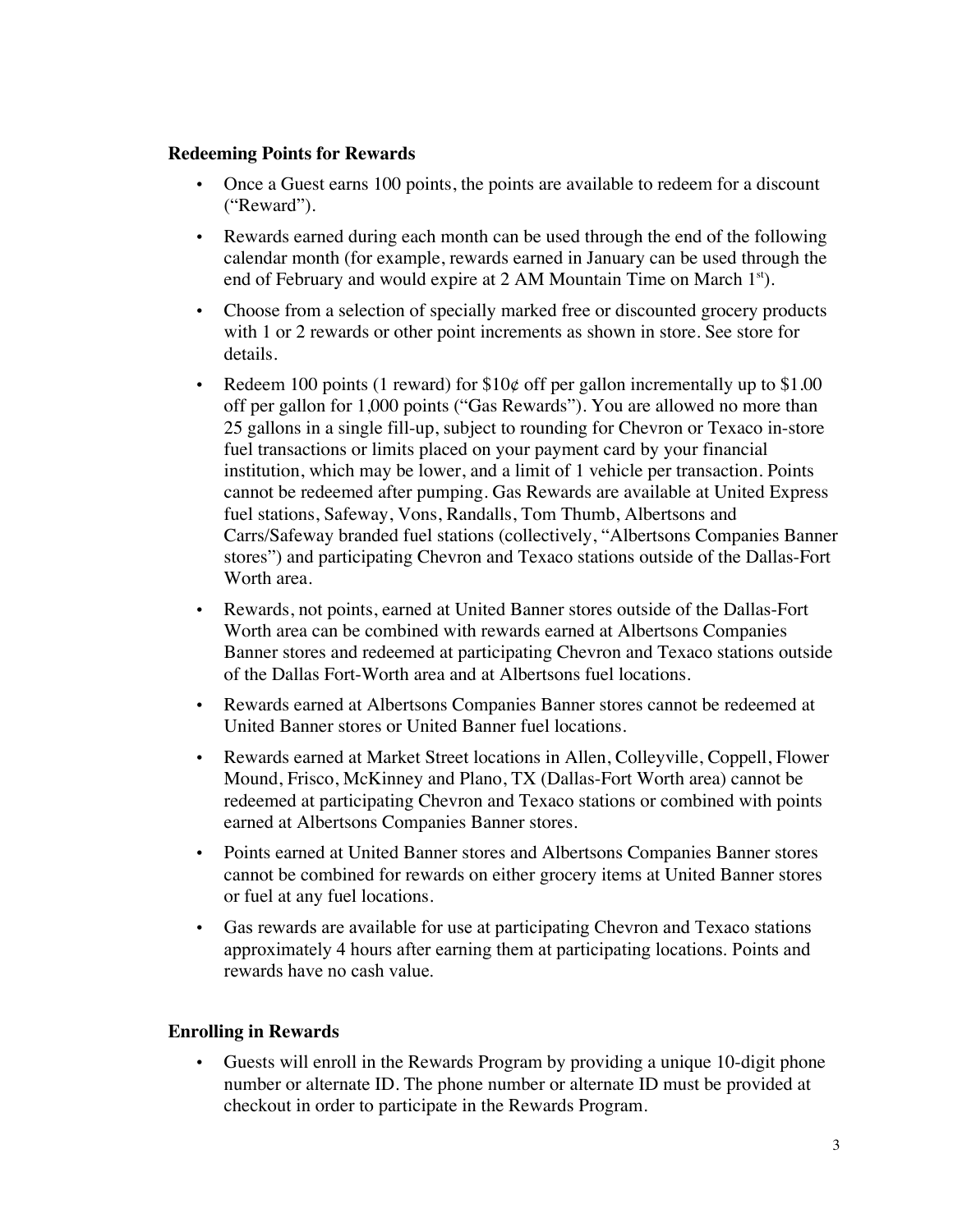#### **Redeeming Points for Rewards**

- Once a Guest earns 100 points, the points are available to redeem for a discount ("Reward").
- Rewards earned during each month can be used through the end of the following calendar month (for example, rewards earned in January can be used through the end of February and would expire at 2 AM Mountain Time on March  $1<sup>st</sup>$ ).
- Choose from a selection of specially marked free or discounted grocery products with 1 or 2 rewards or other point increments as shown in store. See store for details.
- Redeem 100 points (1 reward) for  $$10¢$  off per gallon incrementally up to  $$1.00$ off per gallon for 1,000 points ("Gas Rewards"). You are allowed no more than 25 gallons in a single fill-up, subject to rounding for Chevron or Texaco in-store fuel transactions or limits placed on your payment card by your financial institution, which may be lower, and a limit of 1 vehicle per transaction. Points cannot be redeemed after pumping. Gas Rewards are available at United Express fuel stations, Safeway, Vons, Randalls, Tom Thumb, Albertsons and Carrs/Safeway branded fuel stations (collectively, "Albertsons Companies Banner stores") and participating Chevron and Texaco stations outside of the Dallas-Fort Worth area.
- Rewards, not points, earned at United Banner stores outside of the Dallas-Fort Worth area can be combined with rewards earned at Albertsons Companies Banner stores and redeemed at participating Chevron and Texaco stations outside of the Dallas Fort-Worth area and at Albertsons fuel locations.
- Rewards earned at Albertsons Companies Banner stores cannot be redeemed at United Banner stores or United Banner fuel locations.
- Rewards earned at Market Street locations in Allen, Colleyville, Coppell, Flower Mound, Frisco, McKinney and Plano, TX (Dallas-Fort Worth area) cannot be redeemed at participating Chevron and Texaco stations or combined with points earned at Albertsons Companies Banner stores.
- Points earned at United Banner stores and Albertsons Companies Banner stores cannot be combined for rewards on either grocery items at United Banner stores or fuel at any fuel locations.
- Gas rewards are available for use at participating Chevron and Texaco stations approximately 4 hours after earning them at participating locations. Points and rewards have no cash value.

#### **Enrolling in Rewards**

• Guests will enroll in the Rewards Program by providing a unique 10-digit phone number or alternate ID. The phone number or alternate ID must be provided at checkout in order to participate in the Rewards Program.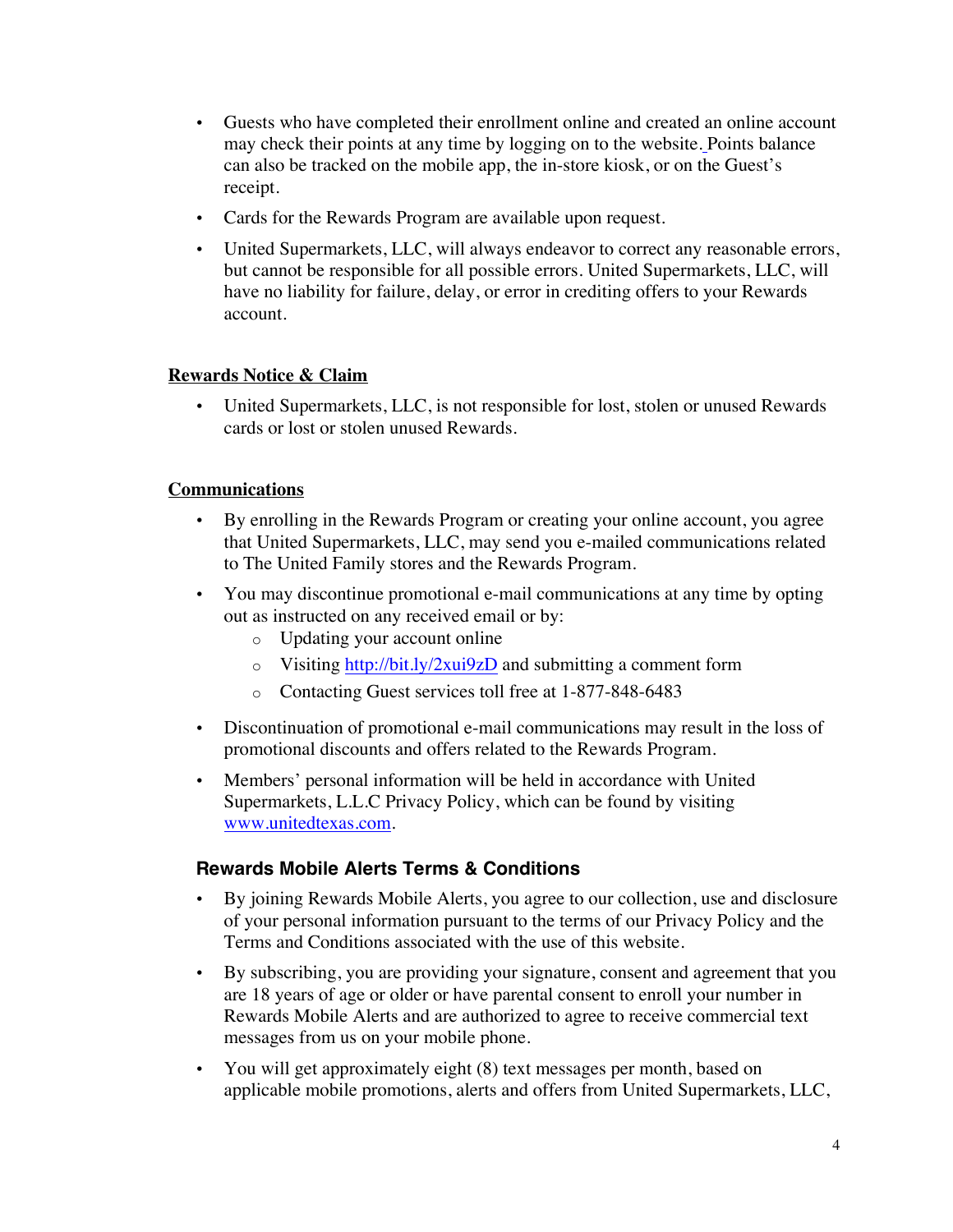- Guests who have completed their enrollment online and created an online account may check their points at any time by logging on to the website. Points balance can also be tracked on the mobile app, the in-store kiosk, or on the Guest's receipt.
- Cards for the Rewards Program are available upon request.
- United Supermarkets, LLC, will always endeavor to correct any reasonable errors, but cannot be responsible for all possible errors. United Supermarkets, LLC, will have no liability for failure, delay, or error in crediting offers to your Rewards account.

## **Rewards Notice & Claim**

• United Supermarkets, LLC, is not responsible for lost, stolen or unused Rewards cards or lost or stolen unused Rewards.

#### **Communications**

- By enrolling in the Rewards Program or creating your online account, you agree that United Supermarkets, LLC, may send you e-mailed communications related to The United Family stores and the Rewards Program.
- You may discontinue promotional e-mail communications at any time by opting out as instructed on any received email or by:
	- o Updating your account online
	- o Visiting http://bit.ly/2xui9zD and submitting a comment form
	- o Contacting Guest services toll free at 1-877-848-6483
- Discontinuation of promotional e-mail communications may result in the loss of promotional discounts and offers related to the Rewards Program.
- Members' personal information will be held in accordance with United Supermarkets, L.L.C Privacy Policy, which can be found by visiting www.unitedtexas.com.

# **Rewards Mobile Alerts Terms & Conditions**

- By joining Rewards Mobile Alerts, you agree to our collection, use and disclosure of your personal information pursuant to the terms of our Privacy Policy and the Terms and Conditions associated with the use of this website.
- By subscribing, you are providing your signature, consent and agreement that you are 18 years of age or older or have parental consent to enroll your number in Rewards Mobile Alerts and are authorized to agree to receive commercial text messages from us on your mobile phone.
- You will get approximately eight (8) text messages per month, based on applicable mobile promotions, alerts and offers from United Supermarkets, LLC,